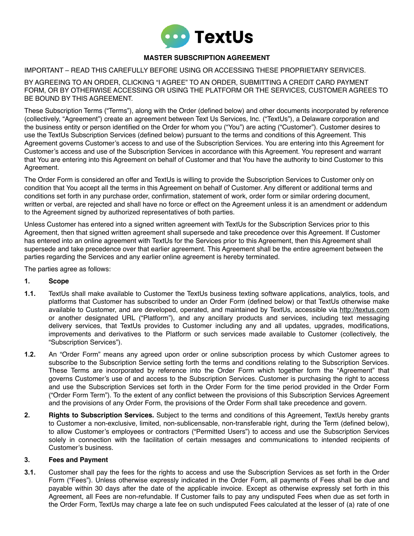

# **MASTER SUBSCRIPTION AGREEMENT**

### IMPORTANT – READ THIS CAREFULLY BEFORE USING OR ACCESSING THESE PROPRIETARY SERVICES.

BY AGREEING TO AN ORDER, CLICKING "I AGREE" TO AN ORDER, SUBMITTING A CREDIT CARD PAYMENT FORM, OR BY OTHERWISE ACCESSING OR USING THE PLATFORM OR THE SERVICES, CUSTOMER AGREES TO BE BOUND BY THIS AGREEMENT.

These Subscription Terms ("Terms"), along with the Order (defined below) and other documents incorporated by reference (collectively, "Agreement") create an agreement between Text Us Services, Inc. ("TextUs"), a Delaware corporation and the business entity or person identified on the Order for whom you ("You") are acting ("Customer"). Customer desires to use the TextUs Subscription Services (defined below) pursuant to the terms and conditions of this Agreement. This Agreement governs Customer's access to and use of the Subscription Services. You are entering into this Agreement for Customer's access and use of the Subscription Services in accordance with this Agreement. You represent and warrant that You are entering into this Agreement on behalf of Customer and that You have the authority to bind Customer to this Agreement.

The Order Form is considered an offer and TextUs is willing to provide the Subscription Services to Customer only on condition that You accept all the terms in this Agreement on behalf of Customer. Any different or additional terms and conditions set forth in any purchase order, confirmation, statement of work, order form or similar ordering document, written or verbal, are rejected and shall have no force or effect on the Agreement unless it is an amendment or addendum to the Agreement signed by authorized representatives of both parties.

Unless Customer has entered into a signed written agreement with TextUs for the Subscription Services prior to this Agreement, then that signed written agreement shall supersede and take precedence over this Agreement. If Customer has entered into an online agreement with TextUs for the Services prior to this Agreement, then this Agreement shall supersede and take precedence over that earlier agreement. This Agreement shall be the entire agreement between the parties regarding the Services and any earlier online agreement is hereby terminated.

The parties agree as follows:

### **1. Scope**

- **1.1.** TextUs shall make available to Customer the TextUs business texting software applications, analytics, tools, and platforms that Customer has subscribed to under an Order Form (defined below) or that TextUs otherwise make available to Customer, and are developed, operated, and maintained by TextUs, accessible via <http://textus.com> or another designated URL ("Platform"), and any ancillary products and services, including text messaging delivery services, that TextUs provides to Customer including any and all updates, upgrades, modifications, improvements and derivatives to the Platform or such services made available to Customer (collectively, the "Subscription Services").
- **1.2.** An "Order Form" means any agreed upon order or online subscription process by which Customer agrees to subscribe to the Subscription Service setting forth the terms and conditions relating to the Subscription Services. These Terms are incorporated by reference into the Order Form which together form the "Agreement" that governs Customer's use of and access to the Subscription Services. Customer is purchasing the right to access and use the Subscription Services set forth in the Order Form for the time period provided in the Order Form ("Order Form Term"). To the extent of any conflict between the provisions of this Subscription Services Agreement and the provisions of any Order Form, the provisions of the Order Form shall take precedence and govern.
- **2. Rights to Subscription Services.** Subject to the terms and conditions of this Agreement, TextUs hereby grants to Customer a non-exclusive, limited, non-sublicensable, non-transferable right, during the Term (defined below), to allow Customer's employees or contractors ("Permitted Users") to access and use the Subscription Services solely in connection with the facilitation of certain messages and communications to intended recipients of Customer's business.

### **3. Fees and Payment**

**3.1.** Customer shall pay the fees for the rights to access and use the Subscription Services as set forth in the Order Form ("Fees"). Unless otherwise expressly indicated in the Order Form, all payments of Fees shall be due and payable within 30 days after the date of the applicable invoice. Except as otherwise expressly set forth in this Agreement, all Fees are non-refundable. If Customer fails to pay any undisputed Fees when due as set forth in the Order Form, TextUs may charge a late fee on such undisputed Fees calculated at the lesser of (a) rate of one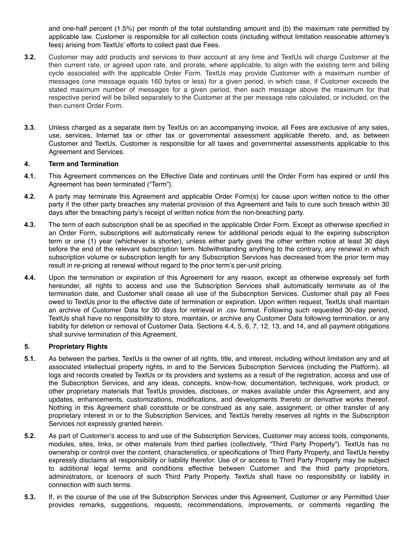and one-half percent (1.5%) per month of the total outstanding amount and (b) the maximum rate permitted by applicable law. Customer is responsible for all collection costs (including without limitation reasonable attorney's fees) arising from TextUs' efforts to collect past due Fees.

- **3.2.** Customer may add products and services to their account at any time and TextUs will charge Customer at the then current rate, or agreed upon rate, and prorate, where applicable, to align with the existing term and billing cycle associated with the applicable Order Form. TextUs may provide Customer with a maximum number of messages (one message equals 160 bytes or less) for a given period, in which case, if Customer exceeds the stated maximum number of messages for a given period, then each message above the maximum for that respective period will be billed separately to the Customer at the per message rate calculated, or included, on the then current Order Form.
- **3.3.** Unless charged as a separate item by TextUs on an accompanying invoice, all Fees are exclusive of any sales, use, services, Internet tax or other tax or governmental assessment applicable thereto, and, as between Customer and TextUs, Customer is responsible for all taxes and governmental assessments applicable to this Agreement and Services.

### **4. Term and Termination**

- **4.1.** This Agreement commences on the Effective Date and continues until the Order Form has expired or until this Agreement has been terminated ("Term").
- **4.2.** A party may terminate this Agreement and applicable Order Form(s) for cause upon written notice to the other party if the other party breaches any material provision of this Agreement and fails to cure such breach within 30 days after the breaching party's receipt of written notice from the non-breaching party.
- **4.3.** The term of each subscription shall be as specified in the applicable Order Form. Except as otherwise specified in an Order Form, subscriptions will automatically renew for additional periods equal to the expiring subscription term or one (1) year (whichever is shorter), unless either party gives the other written notice at least 30 days before the end of the relevant subscription term. Notwithstanding anything to the contrary, any renewal in which subscription volume or subscription length for any Subscription Services has decreased from the prior term may result in re-pricing at renewal without regard to the prior term's per-unit pricing.
- **4.4.** Upon the termination or expiration of this Agreement for any reason, except as otherwise expressly set forth hereunder, all rights to access and use the Subscription Services shall automatically terminate as of the termination date, and Customer shall cease all use of the Subscription Services. Customer shall pay all Fees owed to TextUs prior to the effective date of termination or expiration. Upon written request, TextUs shall maintain an archive of Customer Data for 30 days for retrieval in .csv format. Following such requested 30-day period, TextUs shall have no responsibility to store, maintain, or archive any Customer Data following termination, or any liability for deletion or removal of Customer Data. Sections 4.4, 5, 6, 7, 12, 13, and 14, and all payment obligations shall survive termination of this Agreement.

### **5. Proprietary Rights**

- **5.1.** As between the parties, TextUs is the owner of all rights, title, and interest, including without limitation any and all associated intellectual property rights, in and to the Services Subscription Services (including the Platform), all logs and records created by TextUs or its providers and systems as a result of the registration, access and use of the Subscription Services, and any ideas, concepts, know-how, documentation, techniques, work product, or other proprietary materials that TextUs provides, discloses, or makes available under this Agreement, and any updates, enhancements, customizations, modifications, and developments thereto or derivative works thereof. Nothing in this Agreement shall constitute or be construed as any sale, assignment, or other transfer of any proprietary interest in or to the Subscription Services, and TextUs hereby reserves all rights in the Subscription Services not expressly granted herein.
- **5.2.** As part of Customer's access to and use of the Subscription Services, Customer may access tools, components, modules, sites, links, or other materials from third parties (collectively, "Third Party Property"). TextUs has no ownership or control over the content, characteristics, or specifications of Third Party Property, and TextUs hereby expressly disclaims all responsibility or liability therefor. Use of or access to Third Party Property may be subject to additional legal terms and conditions effective between Customer and the third party proprietors, administrators, or licensors of such Third Party Property. TextUs shall have no responsibility or liability in connection with such terms.
- **5.3.** If, in the course of the use of the Subscription Services under this Agreement, Customer or any Permitted User provides remarks, suggestions, requests, recommendations, improvements, or comments regarding the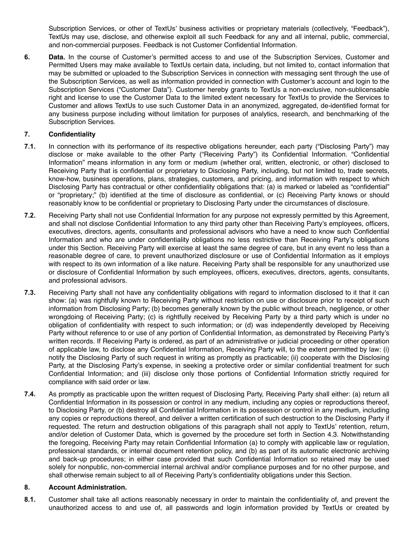Subscription Services, or other of TextUs' business activities or proprietary materials (collectively, "Feedback"), TextUs may use, disclose, and otherwise exploit all such Feedback for any and all internal, public, commercial, and non-commercial purposes. Feedback is not Customer Confidential Information.

**6. Data.** In the course of Customer's permitted access to and use of the Subscription Services, Customer and Permitted Users may make available to TextUs certain data, including, but not limited to, contact information that may be submitted or uploaded to the Subscription Services in connection with messaging sent through the use of the Subscription Services, as well as information provided in connection with Customer's account and login to the Subscription Services ("Customer Data"). Customer hereby grants to TextUs a non-exclusive, non-sublicensable right and license to use the Customer Data to the limited extent necessary for TextUs to provide the Services to Customer and allows TextUs to use such Customer Data in an anonymized, aggregated, de-identified format for any business purpose including without limitation for purposes of analytics, research, and benchmarking of the Subscription Services.

# **7. Confidentiality**

- **7.1.** In connection with its performance of its respective obligations hereunder, each party ("Disclosing Party") may disclose or make available to the other Party ("Receiving Party") its Confidential Information. "Confidential Information" means information in any form or medium (whether oral, written, electronic, or other) disclosed to Receiving Party that is confidential or proprietary to Disclosing Party, including, but not limited to, trade secrets, know-how, business operations, plans, strategies, customers, and pricing, and information with respect to which Disclosing Party has contractual or other confidentiality obligations that: (a) is marked or labeled as "confidential" or "proprietary;" (b) identified at the time of disclosure as confidential, or (c) Receiving Party knows or should reasonably know to be confidential or proprietary to Disclosing Party under the circumstances of disclosure.
- **7.2.** Receiving Party shall not use Confidential Information for any purpose not expressly permitted by this Agreement, and shall not disclose Confidential Information to any third party other than Receiving Party's employees, officers, executives, directors, agents, consultants and professional advisors who have a need to know such Confidential Information and who are under confidentiality obligations no less restrictive than Receiving Party's obligations under this Section. Receiving Party will exercise at least the same degree of care, but in any event no less than a reasonable degree of care, to prevent unauthorized disclosure or use of Confidential Information as it employs with respect to its own information of a like nature. Receiving Party shall be responsible for any unauthorized use or disclosure of Confidential Information by such employees, officers, executives, directors, agents, consultants, and professional advisors.
- **7.3.** Receiving Party shall not have any confidentiality obligations with regard to information disclosed to it that it can show: (a) was rightfully known to Receiving Party without restriction on use or disclosure prior to receipt of such information from Disclosing Party; (b) becomes generally known by the public without breach, negligence, or other wrongdoing of Receiving Party; (c) is rightfully received by Receiving Party by a third party which is under no obligation of confidentiality with respect to such information; or (d) was independently developed by Receiving Party without reference to or use of any portion of Confidential Information, as demonstrated by Receiving Party's written records. If Receiving Party is ordered, as part of an administrative or judicial proceeding or other operation of applicable law, to disclose any Confidential Information, Receiving Party will, to the extent permitted by law: (i) notify the Disclosing Party of such request in writing as promptly as practicable; (ii) cooperate with the Disclosing Party, at the Disclosing Party's expense, in seeking a protective order or similar confidential treatment for such Confidential Information; and (iii) disclose only those portions of Confidential Information strictly required for compliance with said order or law.
- **7.4.** As promptly as practicable upon the written request of Disclosing Party, Receiving Party shall either: (a) return all Confidential Information in its possession or control in any medium, including any copies or reproductions thereof, to Disclosing Party, or (b) destroy all Confidential Information in its possession or control in any medium, including any copies or reproductions thereof, and deliver a written certification of such destruction to the Disclosing Party if requested. The return and destruction obligations of this paragraph shall not apply to TextUs' retention, return, and/or deletion of Customer Data, which is governed by the procedure set forth in Section 4.3. Notwithstanding the foregoing, Receiving Party may retain Confidential Information (a) to comply with applicable law or regulation, professional standards, or internal document retention policy, and (b) as part of its automatic electronic archiving and back-up procedures; in either case provided that such Confidential Information so retained may be used solely for nonpublic, non-commercial internal archival and/or compliance purposes and for no other purpose, and shall otherwise remain subject to all of Receiving Party's confidentiality obligations under this Section.

## **8. Account Administration.**

**8.1.** Customer shall take all actions reasonably necessary in order to maintain the confidentiality of, and prevent the unauthorized access to and use of, all passwords and login information provided by TextUs or created by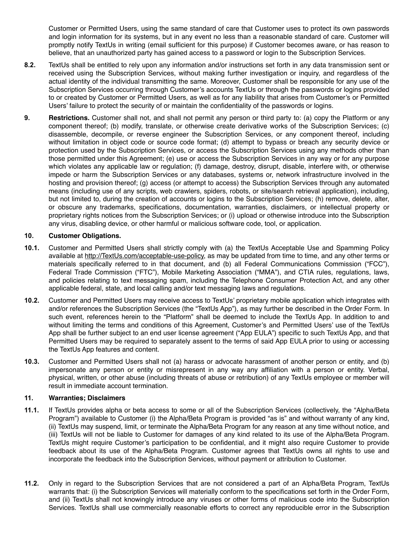Customer or Permitted Users, using the same standard of care that Customer uses to protect its own passwords and login information for its systems, but in any event no less than a reasonable standard of care. Customer will promptly notify TextUs in writing (email sufficient for this purpose) if Customer becomes aware, or has reason to believe, that an unauthorized party has gained access to a password or login to the Subscription Services.

- **8.2.** TextUs shall be entitled to rely upon any information and/or instructions set forth in any data transmission sent or received using the Subscription Services, without making further investigation or inquiry, and regardless of the actual identity of the individual transmitting the same. Moreover, Customer shall be responsible for any use of the Subscription Services occurring through Customer's accounts TextUs or through the passwords or logins provided to or created by Customer or Permitted Users, as well as for any liability that arises from Customer's or Permitted Users' failure to protect the security of or maintain the confidentiality of the passwords or logins.
- **9. Restrictions.** Customer shall not, and shall not permit any person or third party to: (a) copy the Platform or any component thereof; (b) modify, translate, or otherwise create derivative works of the Subscription Services; (c) disassemble, decompile, or reverse engineer the Subscription Services, or any component thereof, including without limitation in object code or source code format; (d) attempt to bypass or breach any security device or protection used by the Subscription Services, or access the Subscription Services using any methods other than those permitted under this Agreement; (e) use or access the Subscription Services in any way or for any purpose which violates any applicable law or regulation; (f) damage, destroy, disrupt, disable, interfere with, or otherwise impede or harm the Subscription Services or any databases, systems or, network infrastructure involved in the hosting and provision thereof; (g) access (or attempt to access) the Subscription Services through any automated means (including use of any scripts, web crawlers, spiders, robots, or site/search retrieval application), including, but not limited to, during the creation of accounts or logins to the Subscription Services; (h) remove, delete, alter, or obscure any trademarks, specifications, documentation, warranties, disclaimers, or intellectual property or proprietary rights notices from the Subscription Services; or (i) upload or otherwise introduce into the Subscription any virus, disabling device, or other harmful or malicious software code, tool, or application.

## **10. Customer Obligations.**

- **10.1.** Customer and Permitted Users shall strictly comply with (a) the TextUs Acceptable Use and Spamming Policy available at [http://TextUs.com/acceptable-use-policy,](http://textus.com/acceptable-use-policy) as may be updated from time to time, and any other terms or materials specifically referred to in that document, and (b) all Federal Communications Commission ("FCC"), Federal Trade Commission ("FTC"), Mobile Marketing Association ("MMA"), and CTIA rules, regulations, laws, and policies relating to text messaging spam, including the Telephone Consumer Protection Act, and any other applicable federal, state, and local calling and/or text messaging laws and regulations.
- **10.2.** Customer and Permitted Users may receive access to TextUs' proprietary mobile application which integrates with and/or references the Subscription Services (the "TextUs App"), as may further be described in the Order Form. In such event, references herein to the "Platform" shall be deemed to include the TextUs App. In addition to and without limiting the terms and conditions of this Agreement, Customer's and Permitted Users' use of the TextUs App shall be further subject to an end user license agreement ("App EULA") specific to such TextUs App, and that Permitted Users may be required to separately assent to the terms of said App EULA prior to using or accessing the TextUs App features and content.
- **10.3.** Customer and Permitted Users shall not (a) harass or advocate harassment of another person or entity, and (b) impersonate any person or entity or misrepresent in any way any affiliation with a person or entity. Verbal, physical, written, or other abuse (including threats of abuse or retribution) of any TextUs employee or member will result in immediate account termination.

## **11. Warranties; Disclaimers**

- **11.1.** If TextUs provides alpha or beta access to some or all of the Subscription Services (collectively, the "Alpha/Beta Program") available to Customer (i) the Alpha/Beta Program is provided "as is" and without warranty of any kind, (ii) TextUs may suspend, limit, or terminate the Alpha/Beta Program for any reason at any time without notice, and (iii) TextUs will not be liable to Customer for damages of any kind related to its use of the Alpha/Beta Program. TextUs might require Customer's participation to be confidential, and it might also require Customer to provide feedback about its use of the Alpha/Beta Program. Customer agrees that TextUs owns all rights to use and incorporate the feedback into the Subscription Services, without payment or attribution to Customer.
- **11.2.** Only in regard to the Subscription Services that are not considered a part of an Alpha/Beta Program, TextUs warrants that: (i) the Subscription Services will materially conform to the specifications set forth in the Order Form, and (ii) TextUs shall not knowingly introduce any viruses or other forms of malicious code into the Subscription Services. TextUs shall use commercially reasonable efforts to correct any reproducible error in the Subscription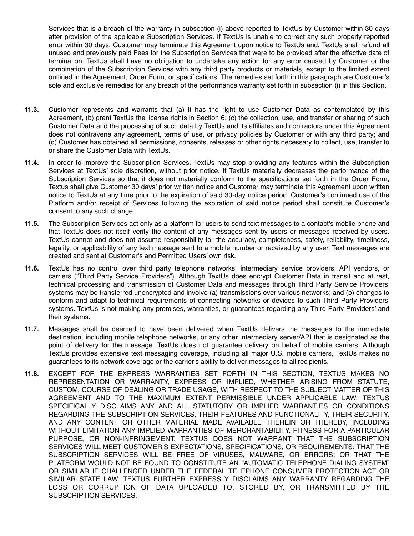Services that is a breach of the warranty in subsection (i) above reported to TextUs by Customer within 30 days after provision of the applicable Subscription Services. If TextUs is unable to correct any such properly reported error within 30 days, Customer may terminate this Agreement upon notice to TextUs and, TextUs shall refund all unused and previously paid Fees for the Subscription Services that were to be provided after the effective date of termination. TextUs shall have no obligation to undertake any action for any error caused by Customer or the combination of the Subscription Services with any third party products or materials, except to the limited extent outlined in the Agreement, Order Form, or specifications. The remedies set forth in this paragraph are Customer's sole and exclusive remedies for any breach of the performance warranty set forth in subsection (i) in this Section.

- **11.3.** Customer represents and warrants that (a) it has the right to use Customer Data as contemplated by this Agreement, (b) grant TextUs the license rights in Section 6; (c) the collection, use, and transfer or sharing of such Customer Data and the processing of such data by TextUs and its affiliates and contractors under this Agreement does not contravene any agreement, terms of use, or privacy policies by Customer or with any third party; and (d) Customer has obtained all permissions, consents, releases or other rights necessary to collect, use, transfer to or share the Customer Data with TextUs.
- **11.4.** In order to improve the Subscription Services, TextUs may stop providing any features within the Subscription Services at TextUs' sole discretion, without prior notice. If TextUs materially decreases the performance of the Subscription Services so that it does not materially conform to the specifications set forth in the Order Form, Textus shall give Customer 30 days' prior written notice and Customer may terminate this Agreement upon written notice to TextUs at any time prior to the expiration of said 30-day notice period. Customer's continued use of the Platform and/or receipt of Services following the expiration of said notice period shall constitute Customer's consent to any such change.
- **11.5.** The Subscription Services act only as a platform for users to send text messages to a contact's mobile phone and that TextUs does not itself verify the content of any messages sent by users or messages received by users. TextUs cannot and does not assume responsibility for the accuracy, completeness, safety, reliability, timeliness, legality, or applicability of any text message sent to a mobile number or received by any user. Text messages are created and sent at Customer's and Permitted Users' own risk.
- **11.6.** TextUs has no control over third party telephone networks, intermediary service providers, API vendors, or carriers ("Third Party Service Providers"). Although TextUs does encrypt Customer Data in transit and at rest, technical processing and transmission of Customer Data and messages through Third Party Service Providers' systems may be transferred unencrypted and involve (a) transmissions over various networks; and (b) changes to conform and adapt to technical requirements of connecting networks or devices to such Third Party Providers' systems. TextUs is not making any promises, warranties, or guarantees regarding any Third Party Providers' and their systems.
- **11.7.** Messages shall be deemed to have been delivered when TextUs delivers the messages to the immediate destination, including mobile telephone networks, or any other intermediary server/API that is designated as the point of delivery for the message. TextUs does not guarantee delivery on behalf of mobile carriers. Although TextUs provides extensive text messaging coverage, including all major U.S. mobile carriers, TextUs makes no guarantees to its network coverage or the carrier's ability to deliver messages to all recipients.
- **11.8.** EXCEPT FOR THE EXPRESS WARRANTIES SET FORTH IN THIS SECTION, TEXTUS MAKES NO REPRESENTATION OR WARRANTY, EXPRESS OR IMPLIED, WHETHER ARISING FROM STATUTE, CUSTOM, COURSE OF DEALING OR TRADE USAGE, WITH RESPECT TO THE SUBJECT MATTER OF THIS AGREEMENT AND TO THE MAXIMUM EXTENT PERMISSIBLE UNDER APPLICABLE LAW, TEXTUS SPECIFICALLY DISCLAIMS ANY AND ALL STATUTORY OR IMPLIED WARRANTIES OR CONDITIONS REGARDING THE SUBSCRIPTION SERVICES, THEIR FEATURES AND FUNCTIONALITY, THEIR SECURITY, AND ANY CONTENT OR OTHER MATERIAL MADE AVAILABLE THEREIN OR THEREBY, INCLUDING WITHOUT LIMITATION ANY IMPLIED WARRANTIES OF MERCHANTABILITY, FITNESS FOR A PARTICULAR PURPOSE, OR NON-INFRINGEMENT. TEXTUS DOES NOT WARRANT THAT THE SUBSCRIPTION SERVICES WILL MEET CUSTOMER'S EXPECTATIONS, SPECIFICATIONS, OR REQUIREMENTS; THAT THE SUBSCRIPTION SERVICES WILL BE FREE OF VIRUSES, MALWARE, OR ERRORS; OR THAT THE PLATFORM WOULD NOT BE FOUND TO CONSTITUTE AN "AUTOMATIC TELEPHONE DIALING SYSTEM" OR SIMILAR IF CHALLENGED UNDER THE FEDERAL TELEPHONE CONSUMER PROTECTION ACT OR SIMILAR STATE LAW. TEXTUS FURTHER EXPRESSLY DISCLAIMS ANY WARRANTY REGARDING THE LOSS OR CORRUPTION OF DATA UPLOADED TO, STORED BY, OR TRANSMITTED BY THE SUBSCRIPTION SERVICES.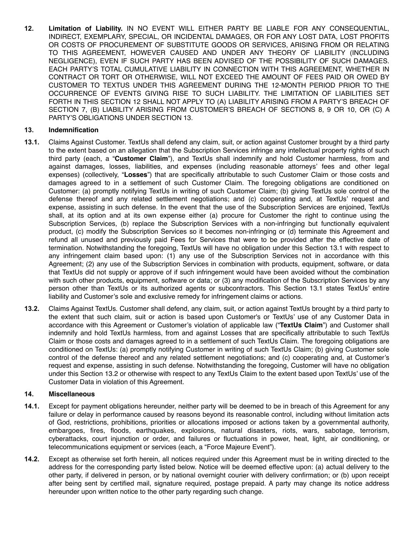**12. Limitation of Liability.** IN NO EVENT WILL EITHER PARTY BE LIABLE FOR ANY CONSEQUENTIAL, INDIRECT, EXEMPLARY, SPECIAL, OR INCIDENTAL DAMAGES, OR FOR ANY LOST DATA, LOST PROFITS OR COSTS OF PROCUREMENT OF SUBSTITUTE GOODS OR SERVICES, ARISING FROM OR RELATING TO THIS AGREEMENT, HOWEVER CAUSED AND UNDER ANY THEORY OF LIABILITY (INCLUDING NEGLIGENCE), EVEN IF SUCH PARTY HAS BEEN ADVISED OF THE POSSIBILITY OF SUCH DAMAGES. EACH PARTY'S TOTAL CUMULATIVE LIABILITY IN CONNECTION WITH THIS AGREEMENT, WHETHER IN CONTRACT OR TORT OR OTHERWISE, WILL NOT EXCEED THE AMOUNT OF FEES PAID OR OWED BY CUSTOMER TO TEXTUS UNDER THIS AGREEMENT DURING THE 12-MONTH PERIOD PRIOR TO THE OCCURRENCE OF EVENTS GIVING RISE TO SUCH LIABILITY. THE LIMITATION OF LIABILITIES SET FORTH IN THIS SECTION 12 SHALL NOT APPLY TO (A) LIABILITY ARISING FROM A PARTY'S BREACH OF SECTION 7, (B) LIABILITY ARISING FROM CUSTOMER'S BREACH OF SECTIONS 8, 9 OR 10, OR (C) A PARTY'S OBLIGATIONS UNDER SECTION 13.

## **13. Indemnification**

- **13.1.** Claims Against Customer. TextUs shall defend any claim, suit, or action against Customer brought by a third party to the extent based on an allegation that the Subscription Services infringe any intellectual property rights of such third party (each, a "**Customer Claim**"), and TextUs shall indemnify and hold Customer harmless, from and against damages, losses, liabilities, and expenses (including reasonable attorneys' fees and other legal expenses) (collectively, "**Losses**") that are specifically attributable to such Customer Claim or those costs and damages agreed to in a settlement of such Customer Claim. The foregoing obligations are conditioned on Customer: (a) promptly notifying TextUs in writing of such Customer Claim; (b) giving TextUs sole control of the defense thereof and any related settlement negotiations; and (c) cooperating and, at TextUs' request and expense, assisting in such defense. In the event that the use of the Subscription Services are enjoined, TextUs shall, at its option and at its own expense either (a) procure for Customer the right to continue using the Subscription Services, (b) replace the Subscription Services with a non-infringing but functionally equivalent product, (c) modify the Subscription Services so it becomes non-infringing or (d) terminate this Agreement and refund all unused and previously paid Fees for Services that were to be provided after the effective date of termination. Notwithstanding the foregoing, TextUs will have no obligation under this Section 13.1 with respect to any infringement claim based upon: (1) any use of the Subscription Services not in accordance with this Agreement; (2) any use of the Subscription Services in combination with products, equipment, software, or data that TextUs did not supply or approve of if such infringement would have been avoided without the combination with such other products, equipment, software or data; or (3) any modification of the Subscription Services by any person other than TextUs or its authorized agents or subcontractors. This Section 13.1 states TextUs' entire liability and Customer's sole and exclusive remedy for infringement claims or actions.
- **13.2.** Claims Against TextUs. Customer shall defend, any claim, suit, or action against TextUs brought by a third party to the extent that such claim, suit or action is based upon Customer's or TextUs' use of any Customer Data in accordance with this Agreement or Customer's violation of applicable law ("**TextUs Claim**") and Customer shall indemnify and hold TextUs harmless, from and against Losses that are specifically attributable to such TextUs Claim or those costs and damages agreed to in a settlement of such TextUs Claim. The foregoing obligations are conditioned on TextUs: (a) promptly notifying Customer in writing of such TextUs Claim; (b) giving Customer sole control of the defense thereof and any related settlement negotiations; and (c) cooperating and, at Customer's request and expense, assisting in such defense. Notwithstanding the foregoing, Customer will have no obligation under this Section 13.2 or otherwise with respect to any TextUs Claim to the extent based upon TextUs' use of the Customer Data in violation of this Agreement.

### **14. Miscellaneous**

- **14.1.** Except for payment obligations hereunder, neither party will be deemed to be in breach of this Agreement for any failure or delay in performance caused by reasons beyond its reasonable control, including without limitation acts of God, restrictions, prohibitions, priorities or allocations imposed or actions taken by a governmental authority, embargoes, fires, floods, earthquakes, explosions, natural disasters, riots, wars, sabotage, terrorism, cyberattacks, court injunction or order, and failures or fluctuations in power, heat, light, air conditioning, or telecommunications equipment or services (each, a "Force Majeure Event").
- **14.2.** Except as otherwise set forth herein, all notices required under this Agreement must be in writing directed to the address for the corresponding party listed below. Notice will be deemed effective upon: (a) actual delivery to the other party, if delivered in person, or by national overnight courier with delivery confirmation; or (b) upon receipt after being sent by certified mail, signature required, postage prepaid. A party may change its notice address hereunder upon written notice to the other party regarding such change.